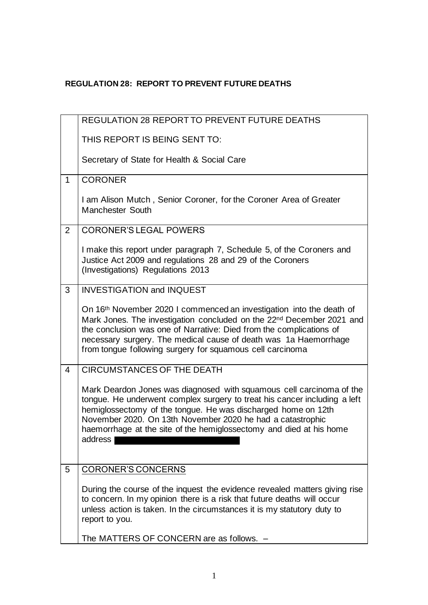## **REGULATION 28: REPORT TO PREVENT FUTURE DEATHS**

|                | REGULATION 28 REPORT TO PREVENT FUTURE DEATHS                                                                                                                                                                                                                                                                                                                      |
|----------------|--------------------------------------------------------------------------------------------------------------------------------------------------------------------------------------------------------------------------------------------------------------------------------------------------------------------------------------------------------------------|
|                | THIS REPORT IS BEING SENT TO:                                                                                                                                                                                                                                                                                                                                      |
|                | Secretary of State for Health & Social Care                                                                                                                                                                                                                                                                                                                        |
| $\mathbf{1}$   | <b>CORONER</b>                                                                                                                                                                                                                                                                                                                                                     |
|                | I am Alison Mutch, Senior Coroner, for the Coroner Area of Greater<br>Manchester South                                                                                                                                                                                                                                                                             |
| $\overline{2}$ | <b>CORONER'S LEGAL POWERS</b>                                                                                                                                                                                                                                                                                                                                      |
|                | I make this report under paragraph 7, Schedule 5, of the Coroners and<br>Justice Act 2009 and regulations 28 and 29 of the Coroners<br>(Investigations) Regulations 2013                                                                                                                                                                                           |
| 3              | <b>INVESTIGATION and INQUEST</b>                                                                                                                                                                                                                                                                                                                                   |
|                | On 16 <sup>th</sup> November 2020 I commenced an investigation into the death of<br>Mark Jones. The investigation concluded on the 22nd December 2021 and<br>the conclusion was one of Narrative: Died from the complications of<br>necessary surgery. The medical cause of death was 1a Haemorrhage<br>from tongue following surgery for squamous cell carcinoma  |
| 4              | <b>CIRCUMSTANCES OF THE DEATH</b>                                                                                                                                                                                                                                                                                                                                  |
|                | Mark Deardon Jones was diagnosed with squamous cell carcinoma of the<br>tongue. He underwent complex surgery to treat his cancer including a left<br>hemiglossectomy of the tongue. He was discharged home on 12th<br>November 2020. On 13th November 2020 he had a catastrophic<br>haemorrhage at the site of the hemiglossectomy and died at his home<br>address |
| 5              | <b>CORONER'S CONCERNS</b>                                                                                                                                                                                                                                                                                                                                          |
|                | During the course of the inquest the evidence revealed matters giving rise<br>to concern. In my opinion there is a risk that future deaths will occur<br>unless action is taken. In the circumstances it is my statutory duty to<br>report to you.                                                                                                                 |
|                | The MATTERS OF CONCERN are as follows. -                                                                                                                                                                                                                                                                                                                           |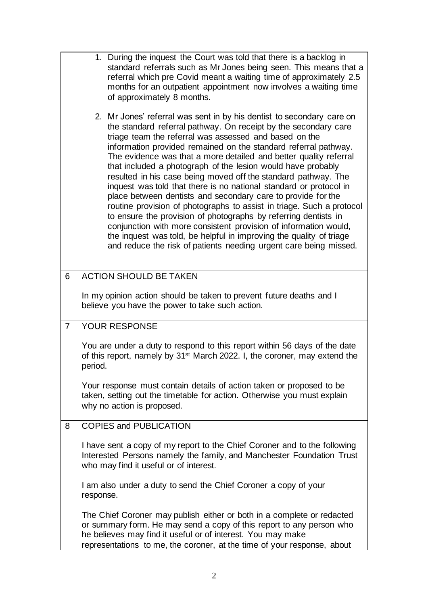|                | 1. During the inquest the Court was told that there is a backlog in<br>standard referrals such as Mr Jones being seen. This means that a<br>referral which pre Covid meant a waiting time of approximately 2.5<br>months for an outpatient appointment now involves a waiting time<br>of approximately 8 months.<br>2. Mr Jones' referral was sent in by his dentist to secondary care on<br>the standard referral pathway. On receipt by the secondary care<br>triage team the referral was assessed and based on the<br>information provided remained on the standard referral pathway.<br>The evidence was that a more detailed and better quality referral<br>that included a photograph of the lesion would have probably<br>resulted in his case being moved off the standard pathway. The<br>inquest was told that there is no national standard or protocol in<br>place between dentists and secondary care to provide for the<br>routine provision of photographs to assist in triage. Such a protocol<br>to ensure the provision of photographs by referring dentists in<br>conjunction with more consistent provision of information would,<br>the inquest was told, be helpful in improving the quality of triage<br>and reduce the risk of patients needing urgent care being missed. |
|----------------|----------------------------------------------------------------------------------------------------------------------------------------------------------------------------------------------------------------------------------------------------------------------------------------------------------------------------------------------------------------------------------------------------------------------------------------------------------------------------------------------------------------------------------------------------------------------------------------------------------------------------------------------------------------------------------------------------------------------------------------------------------------------------------------------------------------------------------------------------------------------------------------------------------------------------------------------------------------------------------------------------------------------------------------------------------------------------------------------------------------------------------------------------------------------------------------------------------------------------------------------------------------------------------------------------|
| 6              | <b>ACTION SHOULD BE TAKEN</b>                                                                                                                                                                                                                                                                                                                                                                                                                                                                                                                                                                                                                                                                                                                                                                                                                                                                                                                                                                                                                                                                                                                                                                                                                                                                      |
|                | In my opinion action should be taken to prevent future deaths and I<br>believe you have the power to take such action.                                                                                                                                                                                                                                                                                                                                                                                                                                                                                                                                                                                                                                                                                                                                                                                                                                                                                                                                                                                                                                                                                                                                                                             |
| $\overline{7}$ | YOUR RESPONSE                                                                                                                                                                                                                                                                                                                                                                                                                                                                                                                                                                                                                                                                                                                                                                                                                                                                                                                                                                                                                                                                                                                                                                                                                                                                                      |
|                | You are under a duty to respond to this report within 56 days of the date<br>of this report, namely by 31 <sup>st</sup> March 2022. I, the coroner, may extend the<br>period.                                                                                                                                                                                                                                                                                                                                                                                                                                                                                                                                                                                                                                                                                                                                                                                                                                                                                                                                                                                                                                                                                                                      |
|                | Your response must contain details of action taken or proposed to be<br>taken, setting out the timetable for action. Otherwise you must explain<br>why no action is proposed.                                                                                                                                                                                                                                                                                                                                                                                                                                                                                                                                                                                                                                                                                                                                                                                                                                                                                                                                                                                                                                                                                                                      |
| 8              | <b>COPIES and PUBLICATION</b>                                                                                                                                                                                                                                                                                                                                                                                                                                                                                                                                                                                                                                                                                                                                                                                                                                                                                                                                                                                                                                                                                                                                                                                                                                                                      |
|                | I have sent a copy of my report to the Chief Coroner and to the following<br>Interested Persons namely the family, and Manchester Foundation Trust<br>who may find it useful or of interest.                                                                                                                                                                                                                                                                                                                                                                                                                                                                                                                                                                                                                                                                                                                                                                                                                                                                                                                                                                                                                                                                                                       |
|                | I am also under a duty to send the Chief Coroner a copy of your<br>response.                                                                                                                                                                                                                                                                                                                                                                                                                                                                                                                                                                                                                                                                                                                                                                                                                                                                                                                                                                                                                                                                                                                                                                                                                       |
|                | The Chief Coroner may publish either or both in a complete or redacted<br>or summary form. He may send a copy of this report to any person who<br>he believes may find it useful or of interest. You may make<br>representations to me, the coroner, at the time of your response, about                                                                                                                                                                                                                                                                                                                                                                                                                                                                                                                                                                                                                                                                                                                                                                                                                                                                                                                                                                                                           |